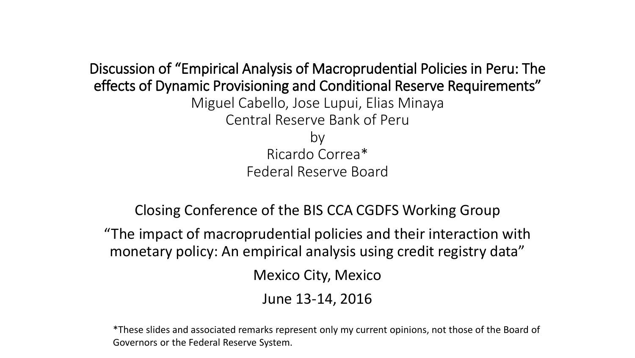Discussion of "Empirical Analysis of Macroprudential Policies in Peru: The effects of Dynamic Provisioning and Conditional Reserve Requirements" Miguel Cabello, Jose Lupui, Elias Minaya Central Reserve Bank of Peru by Ricardo Correa\* Federal Reserve Board

Closing Conference of the BIS CCA CGDFS Working Group

"The impact of macroprudential policies and their interaction with monetary policy: An empirical analysis using credit registry data"

Mexico City, Mexico

June 13-14, 2016

\*These slides and associated remarks represent only my current opinions, not those of the Board of Governors or the Federal Reserve System.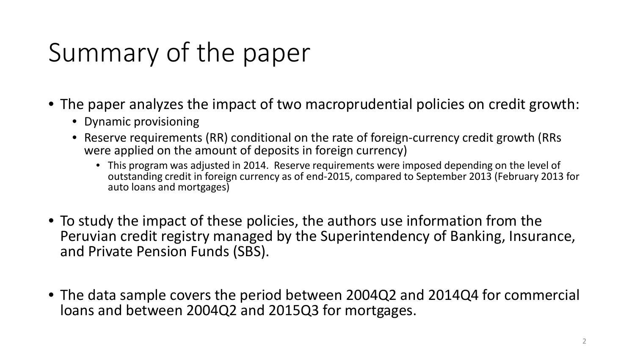# Summary of the paper

- The paper analyzes the impact of two macroprudential policies on credit growth:
	- Dynamic provisioning
	- Reserve requirements (RR) conditional on the rate of foreign-currency credit growth (RRs were applied on the amount of deposits in foreign currency)
		- This program was adjusted in 2014. Reserve requirements were imposed depending on the level of outstanding credit in foreign currency as of end-2015, compared to September 2013 (February 2013 for auto loans and mortgages)
- To study the impact of these policies, the authors use information from the Peruvian credit registry managed by the Superintendency of Banking, Insurance, and Private Pension Funds (SBS).
- The data sample covers the period between 2004Q2 and 2014Q4 for commercial loans and between 2004Q2 and 2015Q3 for mortgages.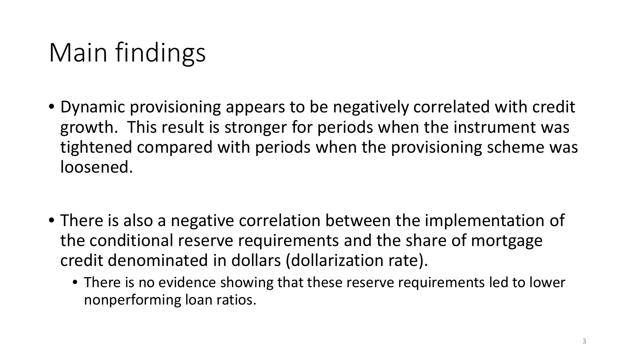# Main findings

- Dynamic provisioning appears to be negatively correlated with credit growth. This result is stronger for periods when the instrument was tightened compared with periods when the provisioning scheme was loosened.
- There is also a negative correlation between the implementation of the conditional reserve requirements and the share of mortgage credit denominated in dollars (dollarization rate).
	- There is no evidence showing that these reserve requirements led to lower nonperforming loan ratios.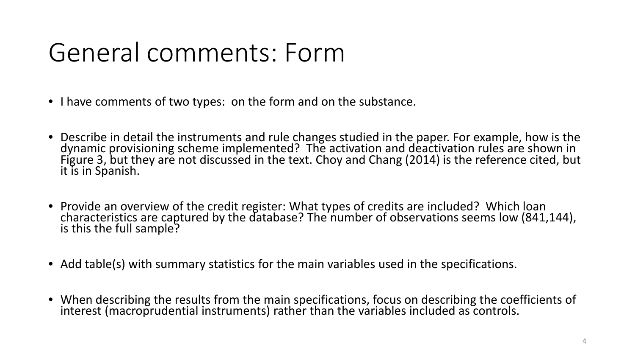## General comments: Form

- I have comments of two types: on the form and on the substance.
- Describe in detail the instruments and rule changes studied in the paper. For example, how is the dynamic provisioning scheme implemented? The activation and deactivation rules are shown in Figure 3, but they are not discussed in the text. Choy and Chang (2014) is the reference cited, but it is in Spanish.
- Provide an overview of the credit register: What types of credits are included? Which loan characteristics are captured by the database? The number of observations seems low (841,144), is this the full sample?
- Add table(s) with summary statistics for the main variables used in the specifications.
- When describing the results from the main specifications, focus on describing the coefficients of interest (macroprudential instruments) rather than the variables included as controls.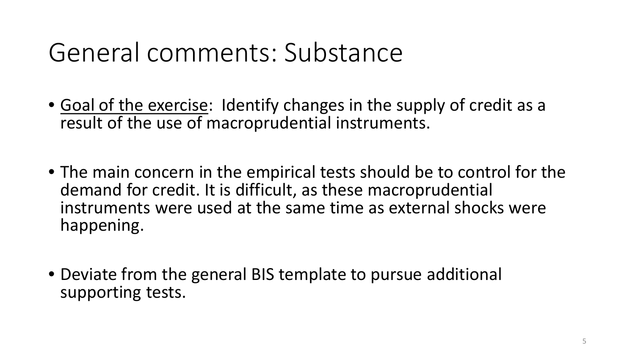#### General comments: Substance

- Goal of the exercise: Identify changes in the supply of credit as a result of the use of macroprudential instruments.
- The main concern in the empirical tests should be to control for the demand for credit. It is difficult, as these macroprudential instruments were used at the same time as external shocks were happening.
- Deviate from the general BIS template to pursue additional supporting tests.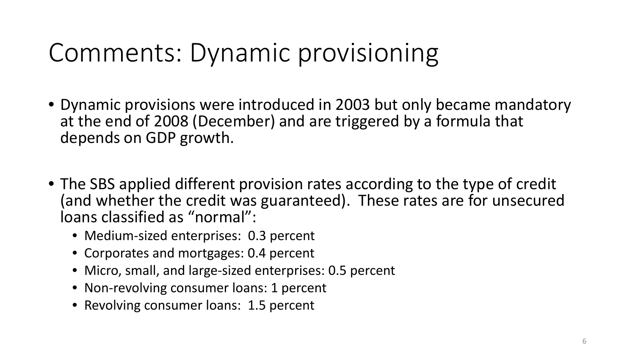- Dynamic provisions were introduced in 2003 but only became mandatory at the end of 2008 (December) and are triggered by a formula that depends on GDP growth.
- The SBS applied different provision rates according to the type of credit (and whether the credit was guaranteed). These rates are for unsecured loans classified as "normal":
	- Medium-sized enterprises: 0.3 percent
	- Corporates and mortgages: 0.4 percent
	- Micro, small, and large-sized enterprises: 0.5 percent
	- Non-revolving consumer loans: 1 percent
	- Revolving consumer loans: 1.5 percent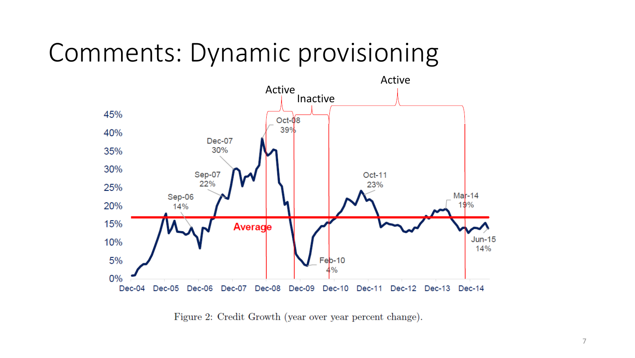

Figure 2: Credit Growth (year over year percent change).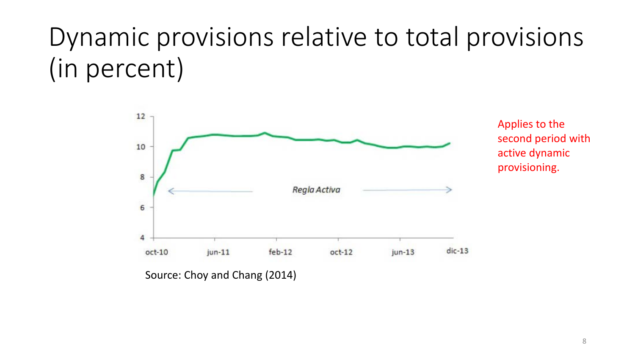## Dynamic provisions relative to total provisions (in percent)



Applies to the second period with active dynamic provisioning.

Source: Choy and Chang (2014)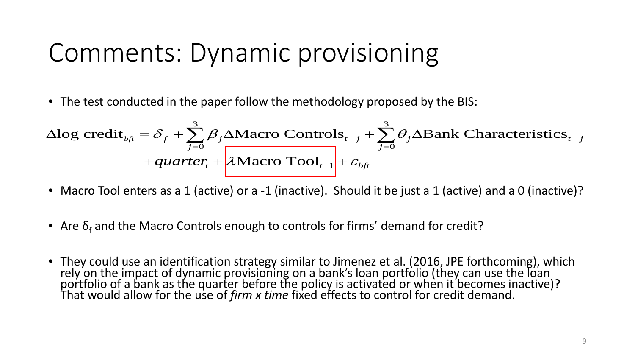• The test conducted in the paper follow the methodology proposed by the BIS:

$$
\Delta \log \text{credit}_{\text{bft}} = \delta_f + \sum_{j=0}^{3} \beta_j \Delta \text{Macc O Controls}_{t-j} + \sum_{j=0}^{3} \theta_j \Delta \text{Bank Characteristics}_{t-j}
$$

$$
+ \text{quarter}_{t} + \lambda \text{Macc O Tool}_{t-1} + \varepsilon_{\text{bft}}
$$

- Macro Tool enters as a 1 (active) or a -1 (inactive). Should it be just a 1 (active) and a 0 (inactive)?
- Are  $\delta_f$  and the Macro Controls enough to controls for firms' demand for credit?
- They could use an identification strategy similar to Jimenez et al. (2016, JPE forthcoming), which rely on the impact of dynamic provisioning on a bank's loan portfolio (they can use the loan portfolio of a bank as the quarter before the policy is activated or when it becomes inactive)?<br>That would allow for the use of *firm x time* fixed effects to control for credit demand.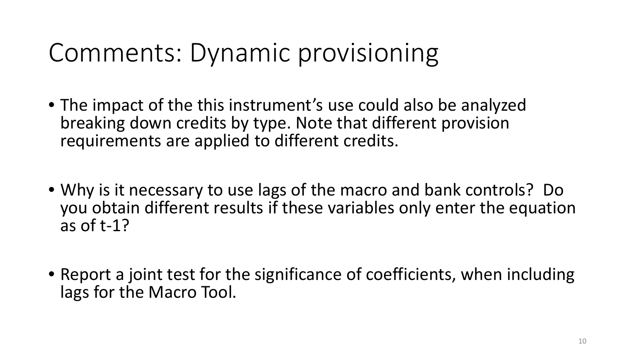- The impact of the this instrument's use could also be analyzed breaking down credits by type. Note that different provision requirements are applied to different credits.
- Why is it necessary to use lags of the macro and bank controls? Do you obtain different results if these variables only enter the equation as of t-1?
- Report a joint test for the significance of coefficients, when including lags for the Macro Tool.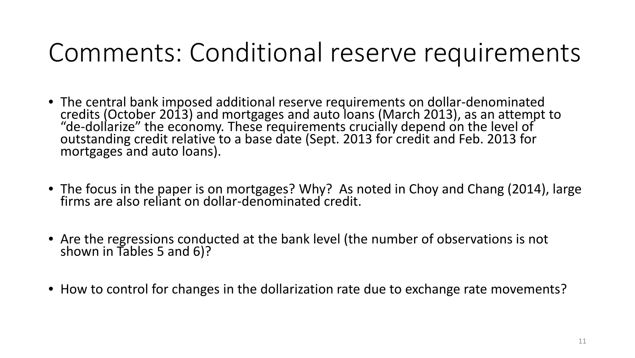#### Comments: Conditional reserve requirements

- The central bank imposed additional reserve requirements on dollar-denominated credits (October 2013) and mortgages and auto loans (March 2013), as an attempt to outstanding credit relative to a base date (Sept. 2013 for credit and Feb. 2013 for mortgages and auto loans).
- The focus in the paper is on mortgages? Why? As noted in Choy and Chang (2014), large firms are also reliant on dollar-denominated credit.
- Are the regressions conducted at the bank level (the number of observations is not shown in Tables 5 and 6)?
- How to control for changes in the dollarization rate due to exchange rate movements?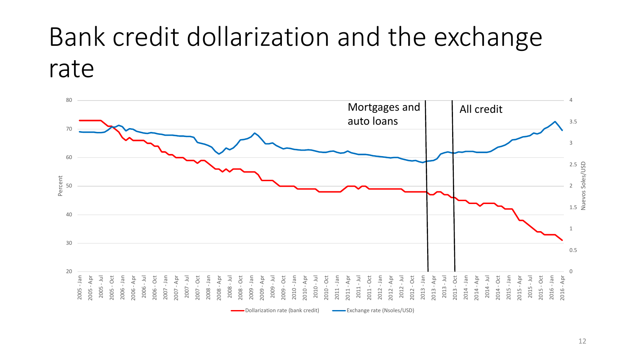## Bank credit dollarization and the exchange rate

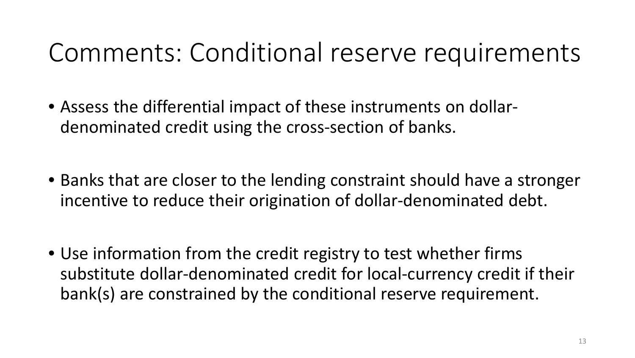#### Comments: Conditional reserve requirements

- Assess the differential impact of these instruments on dollardenominated credit using the cross-section of banks.
- Banks that are closer to the lending constraint should have a stronger incentive to reduce their origination of dollar-denominated debt.
- Use information from the credit registry to test whether firms substitute dollar-denominated credit for local-currency credit if their bank(s) are constrained by the conditional reserve requirement.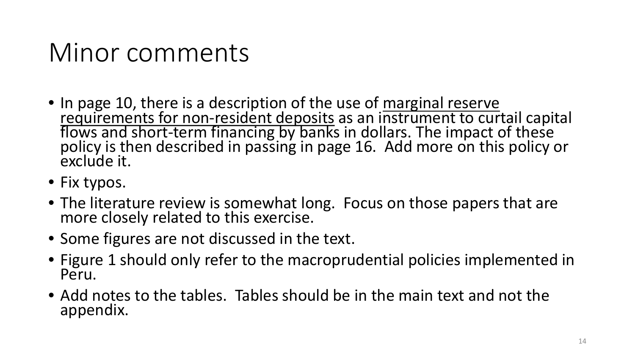#### Minor comments

- In page 10, there is a description of the use of marginal reserve requirements for non-resident deposits as an instrument to curtail capital flows and short-term financing by banks in dollars. The impact of these policy exclude it.
- Fix typos.
- The literature review is somewhat long. Focus on those papers that are more closely related to this exercise.
- Some figures are not discussed in the text.
- Figure 1 should only refer to the macroprudential policies implemented in Peru.
- Add notes to the tables. Tables should be in the main text and not the appendix.